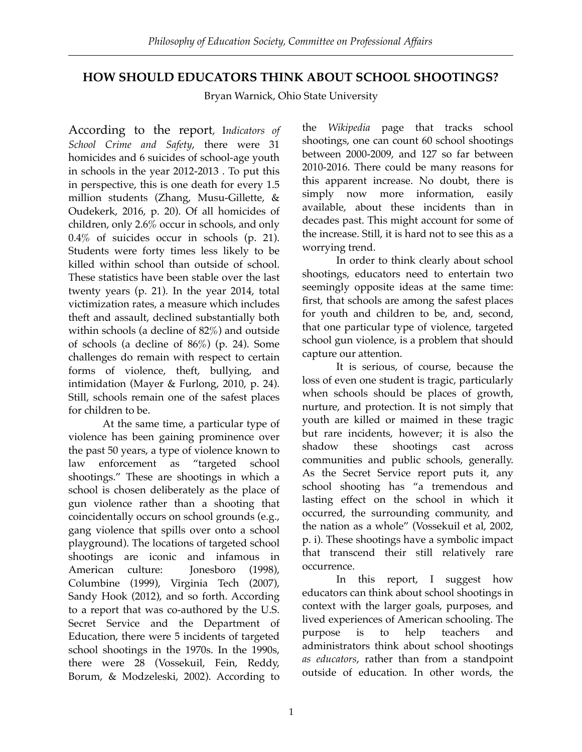# **HOW SHOULD EDUCATORS THINK ABOUT SCHOOL SHOOTINGS?**

Bryan Warnick, Ohio State University

According to the report, I*ndicators of School Crime and Safety*, there were 31 homicides and 6 suicides of school-age youth in schools in the year 2012-2013 . To put this in perspective, this is one death for every 1.5 million students (Zhang, Musu-Gillette, & Oudekerk, 2016, p. 20). Of all homicides of children, only 2.6% occur in schools, and only 0.4% of suicides occur in schools (p. 21). Students were forty times less likely to be killed within school than outside of school. These statistics have been stable over the last twenty years (p. 21). In the year 2014, total victimization rates, a measure which includes theft and assault, declined substantially both within schools (a decline of 82%) and outside of schools (a decline of 86%) (p. 24). Some challenges do remain with respect to certain forms of violence, theft, bullying, and intimidation (Mayer & Furlong, 2010, p. 24). Still, schools remain one of the safest places for children to be.

At the same time, a particular type of violence has been gaining prominence over the past 50 years, a type of violence known to law enforcement as "targeted school shootings." These are shootings in which a school is chosen deliberately as the place of gun violence rather than a shooting that coincidentally occurs on school grounds (e.g., gang violence that spills over onto a school playground). The locations of targeted school shootings are iconic and infamous in American culture: Jonesboro (1998), Columbine (1999), Virginia Tech (2007), Sandy Hook (2012), and so forth. According to a report that was co-authored by the U.S. Secret Service and the Department of Education, there were 5 incidents of targeted school shootings in the 1970s. In the 1990s, there were 28 (Vossekuil, Fein, Reddy, Borum, & Modzeleski, 2002). According to

the *Wikipedia* page that tracks school shootings, one can count 60 school shootings between 2000-2009, and 127 so far between 2010-2016. There could be many reasons for this apparent increase. No doubt, there is simply now more information, easily available, about these incidents than in decades past. This might account for some of the increase. Still, it is hard not to see this as a worrying trend.

In order to think clearly about school shootings, educators need to entertain two seemingly opposite ideas at the same time: first, that schools are among the safest places for youth and children to be, and, second, that one particular type of violence, targeted school gun violence, is a problem that should capture our attention.

It is serious, of course, because the loss of even one student is tragic, particularly when schools should be places of growth, nurture, and protection. It is not simply that youth are killed or maimed in these tragic but rare incidents, however; it is also the shadow these shootings cast across communities and public schools, generally. As the Secret Service report puts it, any school shooting has "a tremendous and lasting effect on the school in which it occurred, the surrounding community, and the nation as a whole" (Vossekuil et al, 2002, p. i). These shootings have a symbolic impact that transcend their still relatively rare occurrence.

In this report, I suggest how educators can think about school shootings in context with the larger goals, purposes, and lived experiences of American schooling. The purpose is to help teachers and administrators think about school shootings *as educators*, rather than from a standpoint outside of education. In other words, the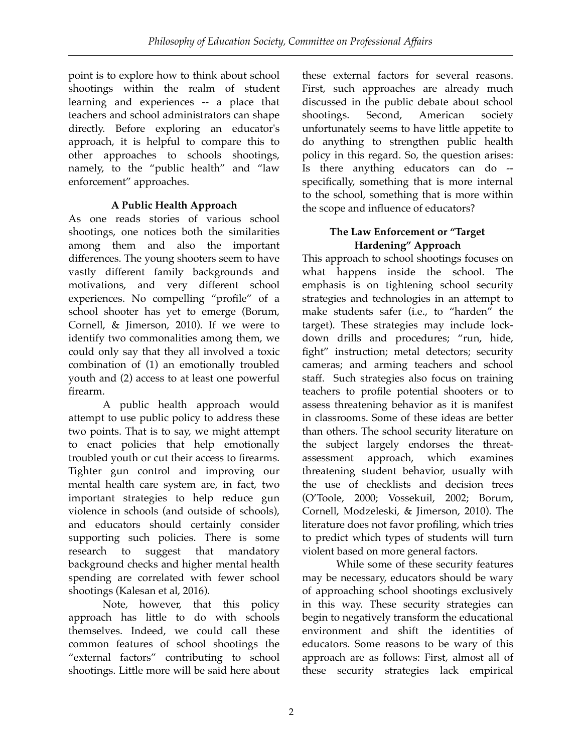point is to explore how to think about school shootings within the realm of student learning and experiences -- a place that teachers and school administrators can shape directly. Before exploring an educator's approach, it is helpful to compare this to other approaches to schools shootings, namely, to the "public health" and "law enforcement" approaches.

## **A Public Health Approach**

As one reads stories of various school shootings, one notices both the similarities among them and also the important differences. The young shooters seem to have vastly different family backgrounds and motivations, and very different school experiences. No compelling "profile" of a school shooter has yet to emerge (Borum, Cornell, & Jimerson, 2010). If we were to identify two commonalities among them, we could only say that they all involved a toxic combination of (1) an emotionally troubled youth and (2) access to at least one powerful firearm.

A public health approach would attempt to use public policy to address these two points. That is to say, we might attempt to enact policies that help emotionally troubled youth or cut their access to firearms. Tighter gun control and improving our mental health care system are, in fact, two important strategies to help reduce gun violence in schools (and outside of schools), and educators should certainly consider supporting such policies. There is some research to suggest that mandatory background checks and higher mental health spending are correlated with fewer school shootings (Kalesan et al, 2016).

Note, however, that this policy approach has little to do with schools themselves. Indeed, we could call these common features of school shootings the "external factors" contributing to school shootings. Little more will be said here about

these external factors for several reasons. First, such approaches are already much discussed in the public debate about school shootings. Second, American society unfortunately seems to have little appetite to do anything to strengthen public health policy in this regard. So, the question arises: Is there anything educators can do - specifically, something that is more internal to the school, something that is more within the scope and influence of educators?

### **The Law Enforcement or "Target Hardening" Approach**

This approach to school shootings focuses on what happens inside the school. The emphasis is on tightening school security strategies and technologies in an attempt to make students safer (i.e., to "harden" the target). These strategies may include lockdown drills and procedures; "run, hide, fight" instruction; metal detectors; security cameras; and arming teachers and school staff. Such strategies also focus on training teachers to profile potential shooters or to assess threatening behavior as it is manifest in classrooms. Some of these ideas are better than others. The school security literature on the subject largely endorses the threatassessment approach, which examines threatening student behavior, usually with the use of checklists and decision trees (O'Toole, 2000; Vossekuil, 2002; Borum, Cornell, Modzeleski, & Jimerson, 2010). The literature does not favor profiling, which tries to predict which types of students will turn violent based on more general factors.

While some of these security features may be necessary, educators should be wary of approaching school shootings exclusively in this way. These security strategies can begin to negatively transform the educational environment and shift the identities of educators. Some reasons to be wary of this approach are as follows: First, almost all of these security strategies lack empirical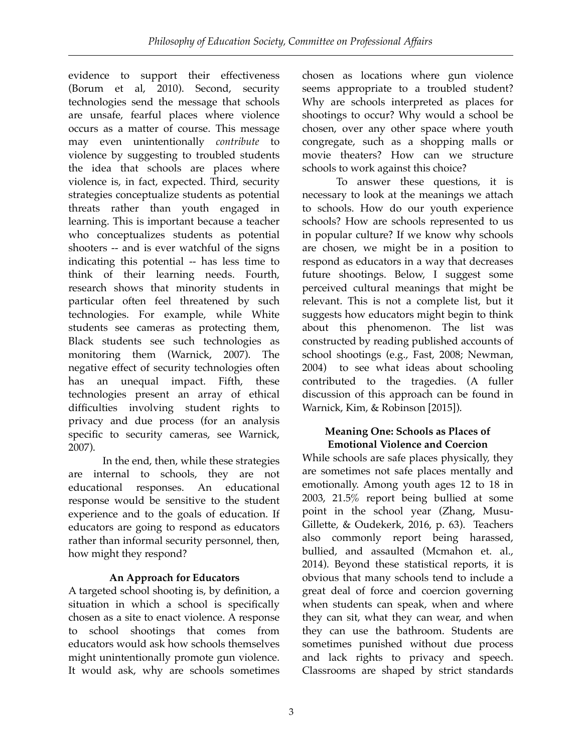evidence to support their effectiveness (Borum et al, 2010). Second, security technologies send the message that schools are unsafe, fearful places where violence occurs as a matter of course. This message may even unintentionally *contribute* to violence by suggesting to troubled students the idea that schools are places where violence is, in fact, expected. Third, security strategies conceptualize students as potential threats rather than youth engaged in learning. This is important because a teacher who conceptualizes students as potential shooters -- and is ever watchful of the signs indicating this potential -- has less time to think of their learning needs. Fourth, research shows that minority students in particular often feel threatened by such technologies. For example, while White students see cameras as protecting them, Black students see such technologies as monitoring them (Warnick, 2007). The negative effect of security technologies often has an unequal impact. Fifth, these technologies present an array of ethical difficulties involving student rights to privacy and due process (for an analysis specific to security cameras, see Warnick, 2007).

In the end, then, while these strategies are internal to schools, they are not educational responses. An educational response would be sensitive to the student experience and to the goals of education. If educators are going to respond as educators rather than informal security personnel, then, how might they respond?

## **An Approach for Educators**

A targeted school shooting is, by definition, a situation in which a school is specifically chosen as a site to enact violence. A response to school shootings that comes from educators would ask how schools themselves might unintentionally promote gun violence. It would ask, why are schools sometimes

chosen as locations where gun violence seems appropriate to a troubled student? Why are schools interpreted as places for shootings to occur? Why would a school be chosen, over any other space where youth congregate, such as a shopping malls or movie theaters? How can we structure schools to work against this choice?

To answer these questions, it is necessary to look at the meanings we attach to schools. How do our youth experience schools? How are schools represented to us in popular culture? If we know why schools are chosen, we might be in a position to respond as educators in a way that decreases future shootings. Below, I suggest some perceived cultural meanings that might be relevant. This is not a complete list, but it suggests how educators might begin to think about this phenomenon. The list was constructed by reading published accounts of school shootings (e.g., Fast, 2008; Newman, 2004) to see what ideas about schooling contributed to the tragedies. (A fuller discussion of this approach can be found in Warnick, Kim, & Robinson [2015]).

#### **Meaning One: Schools as Places of Emotional Violence and Coercion**

While schools are safe places physically, they are sometimes not safe places mentally and emotionally. Among youth ages 12 to 18 in 2003, 21.5% report being bullied at some point in the school year (Zhang, Musu-Gillette, & Oudekerk, 2016, p. 63). Teachers also commonly report being harassed, bullied, and assaulted (Mcmahon et. al., 2014). Beyond these statistical reports, it is obvious that many schools tend to include a great deal of force and coercion governing when students can speak, when and where they can sit, what they can wear, and when they can use the bathroom. Students are sometimes punished without due process and lack rights to privacy and speech. Classrooms are shaped by strict standards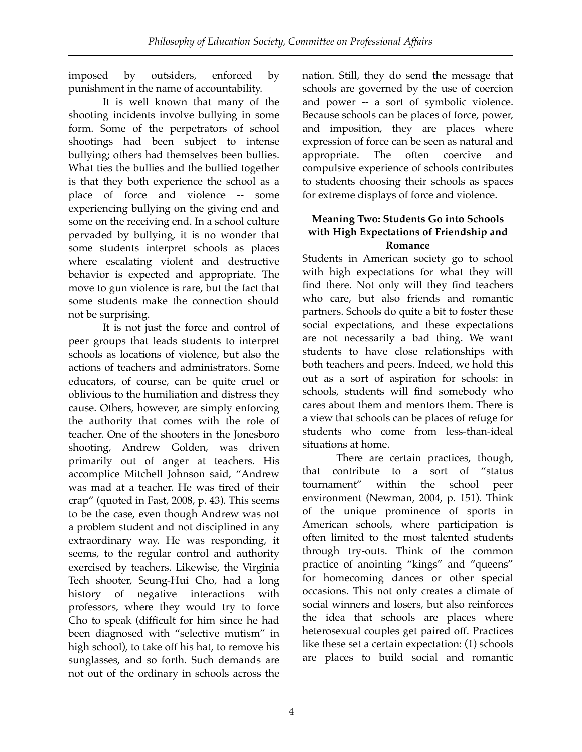imposed by outsiders, enforced by punishment in the name of accountability.

It is well known that many of the shooting incidents involve bullying in some form. Some of the perpetrators of school shootings had been subject to intense bullying; others had themselves been bullies. What ties the bullies and the bullied together is that they both experience the school as a place of force and violence -- some experiencing bullying on the giving end and some on the receiving end. In a school culture pervaded by bullying, it is no wonder that some students interpret schools as places where escalating violent and destructive behavior is expected and appropriate. The move to gun violence is rare, but the fact that some students make the connection should not be surprising.

It is not just the force and control of peer groups that leads students to interpret schools as locations of violence, but also the actions of teachers and administrators. Some educators, of course, can be quite cruel or oblivious to the humiliation and distress they cause. Others, however, are simply enforcing the authority that comes with the role of teacher. One of the shooters in the Jonesboro shooting, Andrew Golden, was driven primarily out of anger at teachers. His accomplice Mitchell Johnson said, "Andrew was mad at a teacher. He was tired of their crap" (quoted in Fast, 2008, p. 43). This seems to be the case, even though Andrew was not a problem student and not disciplined in any extraordinary way. He was responding, it seems, to the regular control and authority exercised by teachers. Likewise, the Virginia Tech shooter, Seung-Hui Cho, had a long history of negative interactions with professors, where they would try to force Cho to speak (difficult for him since he had been diagnosed with "selective mutism" in high school), to take off his hat, to remove his sunglasses, and so forth. Such demands are not out of the ordinary in schools across the

nation. Still, they do send the message that schools are governed by the use of coercion and power -- a sort of symbolic violence. Because schools can be places of force, power, and imposition, they are places where expression of force can be seen as natural and appropriate. The often coercive and compulsive experience of schools contributes to students choosing their schools as spaces for extreme displays of force and violence.

### **Meaning Two: Students Go into Schools with High Expectations of Friendship and Romance**

Students in American society go to school with high expectations for what they will find there. Not only will they find teachers who care, but also friends and romantic partners. Schools do quite a bit to foster these social expectations, and these expectations are not necessarily a bad thing. We want students to have close relationships with both teachers and peers. Indeed, we hold this out as a sort of aspiration for schools: in schools, students will find somebody who cares about them and mentors them. There is a view that schools can be places of refuge for students who come from less-than-ideal situations at home.

There are certain practices, though, that contribute to a sort of "status tournament" within the school peer environment (Newman, 2004, p. 151). Think of the unique prominence of sports in American schools, where participation is often limited to the most talented students through try-outs. Think of the common practice of anointing "kings" and "queens" for homecoming dances or other special occasions. This not only creates a climate of social winners and losers, but also reinforces the idea that schools are places where heterosexual couples get paired off. Practices like these set a certain expectation: (1) schools are places to build social and romantic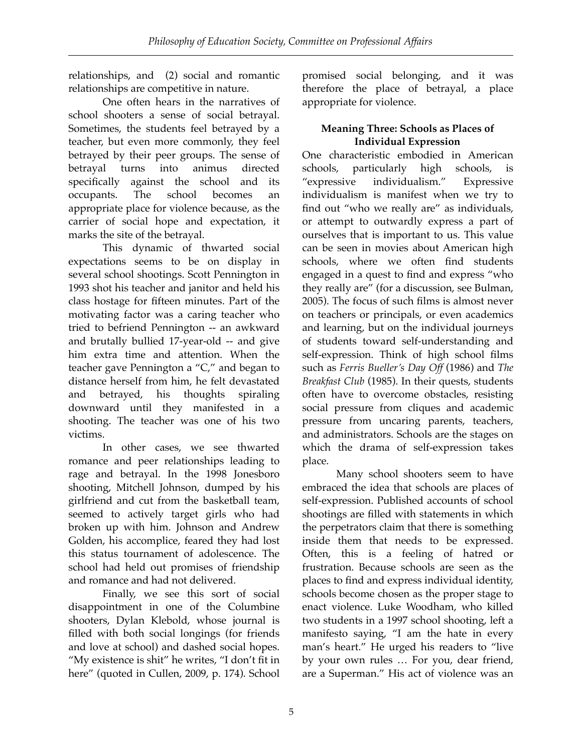relationships, and (2) social and romantic relationships are competitive in nature.

One often hears in the narratives of school shooters a sense of social betrayal. Sometimes, the students feel betrayed by a teacher, but even more commonly, they feel betrayed by their peer groups. The sense of betrayal turns into animus directed specifically against the school and its occupants. The school becomes an appropriate place for violence because, as the carrier of social hope and expectation, it marks the site of the betrayal.

This dynamic of thwarted social expectations seems to be on display in several school shootings. Scott Pennington in 1993 shot his teacher and janitor and held his class hostage for fifteen minutes. Part of the motivating factor was a caring teacher who tried to befriend Pennington -- an awkward and brutally bullied 17-year-old -- and give him extra time and attention. When the teacher gave Pennington a "C," and began to distance herself from him, he felt devastated and betrayed, his thoughts spiraling downward until they manifested in a shooting. The teacher was one of his two victims.

In other cases, we see thwarted romance and peer relationships leading to rage and betrayal. In the 1998 Jonesboro shooting, Mitchell Johnson, dumped by his girlfriend and cut from the basketball team, seemed to actively target girls who had broken up with him. Johnson and Andrew Golden, his accomplice, feared they had lost this status tournament of adolescence. The school had held out promises of friendship and romance and had not delivered.

Finally, we see this sort of social disappointment in one of the Columbine shooters, Dylan Klebold, whose journal is filled with both social longings (for friends and love at school) and dashed social hopes. "My existence is shit" he writes, "I don't fit in here" (quoted in Cullen, 2009, p. 174). School promised social belonging, and it was therefore the place of betrayal, a place appropriate for violence.

# **Meaning Three: Schools as Places of Individual Expression**

One characteristic embodied in American schools, particularly high schools, is "expressive individualism." Expressive individualism is manifest when we try to find out "who we really are" as individuals, or attempt to outwardly express a part of ourselves that is important to us. This value can be seen in movies about American high schools, where we often find students engaged in a quest to find and express "who they really are" (for a discussion, see Bulman, 2005). The focus of such films is almost never on teachers or principals, or even academics and learning, but on the individual journeys of students toward self-understanding and self-expression. Think of high school films such as *Ferris Bueller's Day Off* (1986) and *The Breakfast Club* (1985). In their quests, students often have to overcome obstacles, resisting social pressure from cliques and academic pressure from uncaring parents, teachers, and administrators. Schools are the stages on which the drama of self-expression takes place.

Many school shooters seem to have embraced the idea that schools are places of self-expression. Published accounts of school shootings are filled with statements in which the perpetrators claim that there is something inside them that needs to be expressed. Often, this is a feeling of hatred or frustration. Because schools are seen as the places to find and express individual identity, schools become chosen as the proper stage to enact violence. Luke Woodham, who killed two students in a 1997 school shooting, left a manifesto saying, "I am the hate in every man's heart." He urged his readers to "live by your own rules … For you, dear friend, are a Superman." His act of violence was an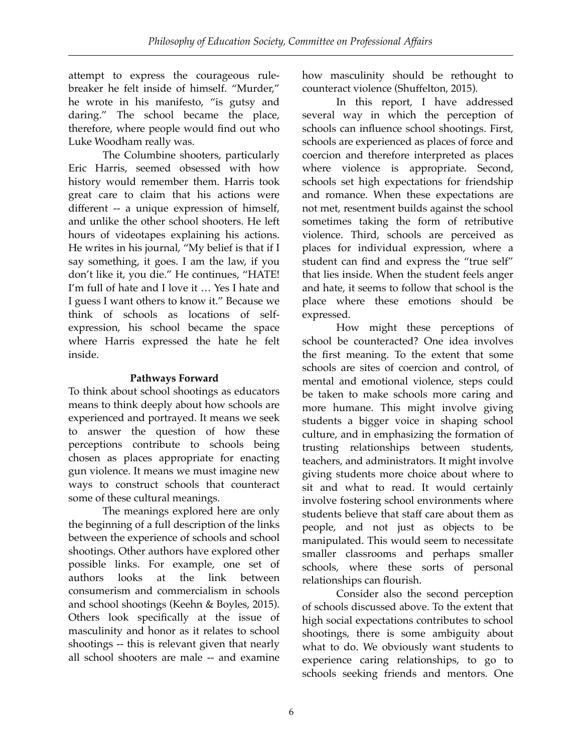attempt to express the courageous rulebreaker he felt inside of himself. "Murder," he wrote in his manifesto, "is gutsy and daring." The school became the place, therefore, where people would find out who Luke Woodham really was.

The Columbine shooters, particularly Eric Harris, seemed obsessed with how history would remember them. Harris took great care to claim that his actions were different -- a unique expression of himself, and unlike the other school shooters. He left hours of videotapes explaining his actions. He writes in his journal, "My belief is that if I say something, it goes. I am the law, if you don't like it, you die." He continues, "HATE! I'm full of hate and I love it … Yes I hate and I guess I want others to know it." Because we think of schools as locations of selfexpression, his school became the space where Harris expressed the hate he felt inside.

## **Pathways Forward**

To think about school shootings as educators means to think deeply about how schools are experienced and portrayed. It means we seek to answer the question of how these perceptions contribute to schools being chosen as places appropriate for enacting gun violence. It means we must imagine new ways to construct schools that counteract some of these cultural meanings.

The meanings explored here are only the beginning of a full description of the links between the experience of schools and school shootings. Other authors have explored other possible links. For example, one set of authors looks at the link between consumerism and commercialism in schools and school shootings (Keehn & Boyles, 2015). Others look specifically at the issue of masculinity and honor as it relates to school shootings -- this is relevant given that nearly all school shooters are male -- and examine

how masculinity should be rethought to counteract violence (Shuffelton, 2015).

In this report, I have addressed several way in which the perception of schools can influence school shootings. First, schools are experienced as places of force and coercion and therefore interpreted as places where violence is appropriate. Second, schools set high expectations for friendship and romance. When these expectations are not met, resentment builds against the school sometimes taking the form of retributive violence. Third, schools are perceived as places for individual expression, where a student can find and express the "true self" that lies inside. When the student feels anger and hate, it seems to follow that school is the place where these emotions should be expressed.

 How might these perceptions of school be counteracted? One idea involves the first meaning. To the extent that some schools are sites of coercion and control, of mental and emotional violence, steps could be taken to make schools more caring and more humane. This might involve giving students a bigger voice in shaping school culture, and in emphasizing the formation of trusting relationships between students, teachers, and administrators. It might involve giving students more choice about where to sit and what to read. It would certainly involve fostering school environments where students believe that staff care about them as people, and not just as objects to be manipulated. This would seem to necessitate smaller classrooms and perhaps smaller schools, where these sorts of personal relationships can flourish.

Consider also the second perception of schools discussed above. To the extent that high social expectations contributes to school shootings, there is some ambiguity about what to do. We obviously want students to experience caring relationships, to go to schools seeking friends and mentors. One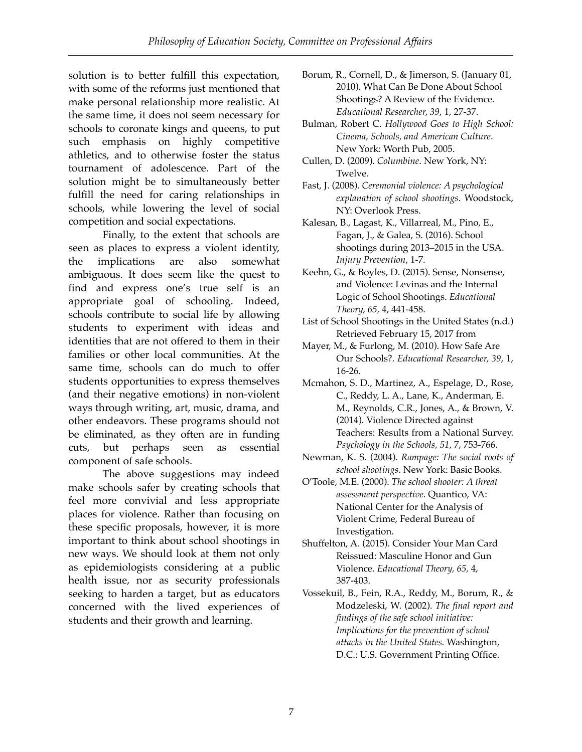solution is to better fulfill this expectation, with some of the reforms just mentioned that make personal relationship more realistic. At the same time, it does not seem necessary for schools to coronate kings and queens, to put such emphasis on highly competitive athletics, and to otherwise foster the status tournament of adolescence. Part of the solution might be to simultaneously better fulfill the need for caring relationships in schools, while lowering the level of social competition and social expectations.

Finally, to the extent that schools are seen as places to express a violent identity, the implications are also somewhat ambiguous. It does seem like the quest to find and express one's true self is an appropriate goal of schooling. Indeed, schools contribute to social life by allowing students to experiment with ideas and identities that are not offered to them in their families or other local communities. At the same time, schools can do much to offer students opportunities to express themselves (and their negative emotions) in non-violent ways through writing, art, music, drama, and other endeavors. These programs should not be eliminated, as they often are in funding cuts, but perhaps seen as essential component of safe schools.

The above suggestions may indeed make schools safer by creating schools that feel more convivial and less appropriate places for violence. Rather than focusing on these specific proposals, however, it is more important to think about school shootings in new ways. We should look at them not only as epidemiologists considering at a public health issue, nor as security professionals seeking to harden a target, but as educators concerned with the lived experiences of students and their growth and learning.

- Borum, R., Cornell, D., & Jimerson, S. (January 01, 2010). What Can Be Done About School Shootings? A Review of the Evidence. *Educational Researcher, 39*, 1, 27-37.
- Bulman, Robert C. *Hollywood Goes to High School: Cinema, Schools, and American Culture*. New York: Worth Pub, 2005.
- Cullen, D. (2009). *Columbine*. New York, NY: Twelve.
- Fast, J. (2008). *Ceremonial violence: A psychological explanation of school shootings*. Woodstock, NY: Overlook Press.
- Kalesan, B., Lagast, K., Villarreal, M., Pino, E., Fagan, J., & Galea, S. (2016). School shootings during 2013–2015 in the USA. *Injury Prevention*, 1-7.
- Keehn, G., & Boyles, D. (2015). Sense, Nonsense, and Violence: Levinas and the Internal Logic of School Shootings. *Educational Theory, 65,* 4, 441-458.
- List of School Shootings in the United States (n.d.) Retrieved February 15, 2017 from
- Mayer, M., & Furlong, M. (2010). How Safe Are Our Schools?. *Educational Researcher, 39*, 1, 16-26.
- Mcmahon, S. D., Martinez, A., Espelage, D., Rose, C., Reddy, L. A., Lane, K., Anderman, E. M., Reynolds, C.R., Jones, A., & Brown, V. (2014). Violence Directed against Teachers: Results from a National Survey. *Psychology in the Schools, 51,* 7, 753-766.
- Newman, K. S. (2004). *Rampage: The social roots of school shootings*. New York: Basic Books.
- O'Toole, M.E. (2000). *The school shooter: A threat assessment perspective*. Quantico, VA: National Center for the Analysis of Violent Crime, Federal Bureau of Investigation.
- Shuffelton, A. (2015). Consider Your Man Card Reissued: Masculine Honor and Gun Violence. *Educational Theory, 65,* 4, 387-403.
- Vossekuil, B., Fein, R.A., Reddy, M., Borum, R., & Modzeleski, W. (2002). *The final report and findings of the safe school initiative: Implications for the prevention of school attacks in the United States.* Washington, D.C.: U.S. Government Printing Office.